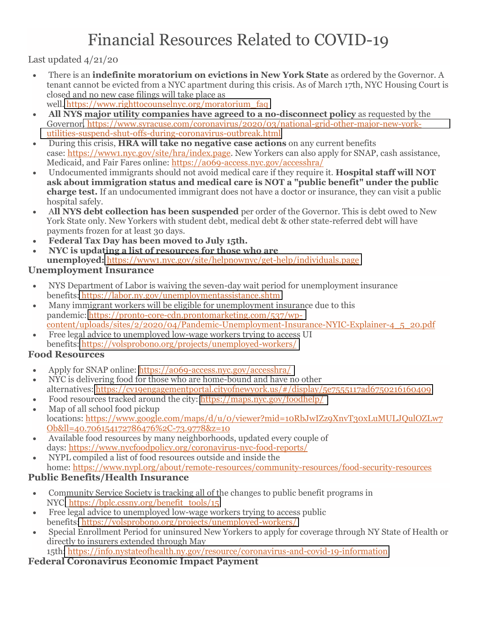# Financial Resources Related to COVID-19

Last updated 4/21/20

- tenant cannot be evicted from a NYC apartment during this crisis. As of March 17th, NYC Housing Court is There is an **indefinite moratorium on evictions in New York State** as ordered by the Governor. A closed and no new case filings will take place as well. [https://www.righttocounselnyc.org/moratorium\\_faq](https://www.righttocounselnyc.org/moratorium_faq)
- $\bullet$  **All NYS major utility companies have agreed to a no-disconnect policy** as requested by the Governor[. https://www.syracuse.com/coronavirus/2020/03/national-grid-other-major-new-york](https://www.syracuse.com/coronavirus/2020/03/national-grid-other-major-new-york-utilities-suspend-shut-offs-during-coronavirus-outbreak.html)[utilities-suspend-shut-offs-during-coronavirus-outbreak.html](https://www.syracuse.com/coronavirus/2020/03/national-grid-other-major-new-york-utilities-suspend-shut-offs-during-coronavirus-outbreak.html)
- $\bullet$ case: <u>https://www1.nyc.gov/site/hra/index.page</u>. New Yorkers can also apply for SNAP, cash assistance, During this crisis, **HRA will take no negative case actions** on any current benefits Medicaid, and Fair Fares online:<https://a069-access.nyc.gov/accesshra/>
- **ask about immigration status and medical care is NOT a "public benefit" under the public** Undocumented immigrants should not avoid medical care if they require it. **Hospital staff will NOT charge test.** If an undocumented immigrant does not have a doctor or insurance, they can visit a public hospital safely.
- A**ll NYS debt collection has been suspended** per order of the Governor. This is debt owed to New York State only. New Yorkers with student debt, medical debt & other state-referred debt will have payments frozen for at least 30 days.
- **Federal Tax Day has been moved to July 15th.**
- **NYC is updating a list of resources for those who are unemployed:** <https://www1.nyc.gov/site/helpnownyc/get-help/individuals.page>

#### **Unemployment Insurance**

- NYS Department of Labor is waiving the seven-day wait period for unemployment insurance benefits[: https://labor.ny.gov/unemploymentassistance.shtm](https://labor.ny.gov/unemploymentassistance.shtm)
- $\bullet$  Many immigrant workers will be eligible for unemployment insurance due to this pandemic: [https://pronto-core-cdn.prontomarketing.com/537/wp](https://www.prontomarketing.com/)[content/uploads/sites/2/2020/04/Pandemic-Unemployment-Insurance-NYIC-Explainer-4\\_5\\_20.pdf](https://www.prontomarketing.com/)
- Free legal advice to unemployed low-wage workers trying to access UI benefits[: https://volsprobono.org/projects/unemployed-workers/](https://volsprobono.org/projects/unemployed-workers/)

#### **Food Resources**

- Apply for SNAP online:<https://a069-access.nyc.gov/accesshra/>
- NYC is delivering food for those who are home-bound and have no other alternatives:<https://cv19engagementportal.cityofnewyork.us/#/display/5e7555117ad6750216160409>
- $\bullet$ Food resources tracked around the city:<https://maps.nyc.gov/foodhelp/>
- Map of all school food pickup locations: https://www.google.com/maps/d/u/0/viewer?mid=10RbJwIZz9XnvT30xLuMULJQulOZLw7 Ob&ll=40.706154172786476%2C-73.9778&z=10
- Available food resources by many neighborhoods, updated every couple of days: https://www.nycfoodpolicy.org/coronavirus-nyc-food-reports/
- $\bullet$  NYPL compiled a list of food resources outside and inside the home: https://www.nypl.org/about/remote-resources/community-resources/food-security-resources

#### **Public Benefits/Health Insurance**

- Community Service Society is tracking all of the changes to public benefit programs in NYC[: https://bplc.cssny.org/benefit\\_tools/15](https://bplc.cssny.org/benefit_tools/15)
- Free legal advice to unemployed low-wage workers trying to access public benefits[: https://volsprobono.org/projects/unemployed-workers/](https://volsprobono.org/projects/unemployed-workers/)
- $\bullet$  Special Enrollment Period for uninsured New Yorkers to apply for coverage through NY State of Health or directly to insurers extended through May 15th[: https://info.nystateofhealth.ny.gov/resource/coronavirus-and-covid-19-information](https://info.nystateofhealth.ny.gov/resource/coronavirus-and-covid-19-information)

# **Federal Coronavirus Economic Impact Payment**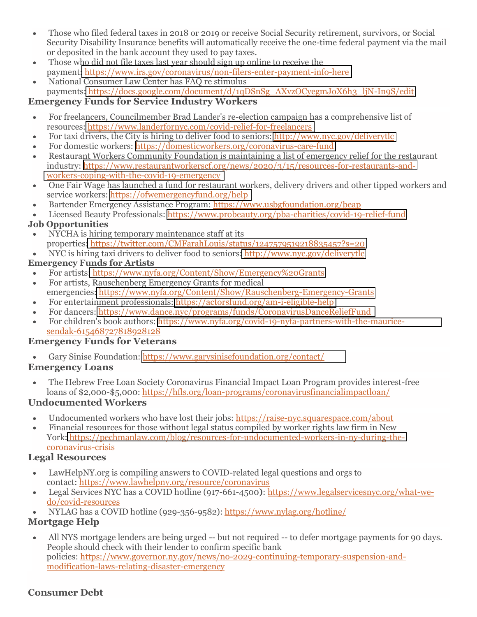- $\bullet$  Those who filed federal taxes in 2018 or 2019 or receive Social Security retirement, survivors, or Social Security Disability Insurance benefits will automatically receive the one-time federal payment via the mail or deposited in the bank account they used to pay taxes.
- $\bullet$  Those who did not file taxes last year should sign up online to receive the payment[: https://www.irs.gov/coronavirus/non-filers-enter-payment-info-here](https://www.irs.gov/coronavirus/non-filers-enter-payment-info-here)
- $\bullet$  National Consumer Law Center has FAQ re stimulus payments[: https://docs.google.com/document/d/1qDSnSg\\_AXvzOCyegmJoX6h3\\_ljN-In9S/edit](https://docs.google.com/document/d/1qDSnSg_AXvzOCyegmJoX6h3_ljN-In9S/edit)

## **Emergency Funds for Service Industry Workers**

- $\bullet$  For freelancers, Councilmember Brad Lander's re-election campaign has a comprehensive list of resources:<https://www.landerfornyc.com/covid-relief-for-freelancers>
- $\bullet$ For taxi drivers, the City is hiring to deliver food to seniors:<http://www.nyc.gov/deliverytlc>
- For domestic workers: <https://domesticworkers.org/coronavirus-care-fund>
- Restaurant Workers Community Foundation is maintaining a list of emergency relief for the restaurant industry: [https://www.restaurantworkerscf.org/news/2020/3/15/resources-for-restaurants-and](https://www.restaurantworkerscf.org/news/2020/3/15/resources-for-restaurants-andworkers-coping-with-the-covid-19-emergency)[workers-coping-with-the-covid-19-emergency](https://www.restaurantworkerscf.org/news/2020/3/15/resources-for-restaurants-andworkers-coping-with-the-covid-19-emergency)
- $\bullet$  One Fair Wage has launched a fund for restaurant workers, delivery drivers and other tipped workers and service workers:<https://ofwemergencyfund.org/help>
- $\bullet$ Bartender Emergency Assistance Program: https://www.usbgfoundation.org/beap
- Licensed Beauty Professionals:<https://www.probeauty.org/pba-charities/covid-19-relief-fund>

## **Job Opportunities**

- NYCHA is hiring temporary maintenance staff at its properties[: https://twitter.com/CMFarahLouis/status/1247579519218835457?s=20](https://twitter.com/CMFarahLouis/status/1247579519218835457?s=20)
- $\bullet$ NYC is hiring taxi drivers to deliver food to seniors[: http://www.nyc.gov/deliverytlc](http://www.nyc.gov/deliverytlc)

## **Emergency Funds for Artists**

- $\bullet$ For artists[: https://www.nyfa.org/Content/Show/Emergency%20Grants](https://www.nyfa.org/support-nyfa/covid-19-response-fund/)
- For artists, Rauschenberg Emergency Grants for medical emergencies[: https://www.nyfa.org/Content/Show/Rauschenberg-Emergency-Grants](https://www.nyfa.org/Content/Show/Rauschenberg-Emergency-Grants)
- $\bullet$ For entertainment professionals:<https://actorsfund.org/am-i-eligible-help>
- For dancers:<https://www.dance.nyc/programs/funds/CoronavirusDanceReliefFund>
- For children's book authors: [https://www.nyfa.org/covid-19-nyfa-partners-with-the-maurice](https://www.nyfa.org/covid-19-nyfa-partners-with-the-maurice-sendak-615468727818928128)[sendak-615468727818928128](https://www.nyfa.org/covid-19-nyfa-partners-with-the-maurice-sendak-615468727818928128)

## **Emergency Funds for Veterans**

Gary Sinise Foundation:<https://www.garysinisefoundation.org/contact/>

## **Emergency Loans**

 $\bullet$  The Hebrew Free Loan Society Coronavirus Financial Impact Loan Program provides interest-free loans of \$2,000-\$5,000: https://hfls.org/loan-programs/coronavirusfinancialimpactloan/

## **Undocumented Workers**

- $\bullet$ Undocumented workers who have lost their jobs: [https://raise-nyc.squarespace.com/about](https://raise-nyc.squarespace.com/undocu-workers-fund-1)
- Financial resources for those without legal status compiled by worker rights law firm in New York: [https://pechmanlaw.com/blog/resources-for-undocumented-workers-in-ny-during-the](https://pechmanlaw.com/blog/resources-for-undocumented-workers-in-ny-during-thecoronavirus-crisis)[coronavirus-crisis](https://pechmanlaw.com/blog/resources-for-undocumented-workers-in-ny-during-thecoronavirus-crisis)

## **Legal Resources**

- $\bullet$  [LawHelpNY.org](https://LawHelpNY.org) is compiling answers to COVID-related legal questions and orgs to contact[: https://www.lawhelpny.org/resource/coronavirus](https://www.lawhelpny.org/resource/coronavirus)
- $\bullet$  Legal Services NYC has a COVID hotline (917-661-4500**)**: [https://www.legalservicesnyc.org/what-we](https://www.legalservicesnyc.org/what-we-do/covid-resources)[do/covid-resources](https://www.legalservicesnyc.org/what-we-do/covid-resources)
- NYLAG has a COVID hotline (929-356-9582):<https://www.nylag.org/hotline/>

# **Mortgage Help**

 All NYS mortgage lenders are being urged -- but not required -- to defer mortgage payments for 90 days. People should check with their lender to confirm specific bank policies: [https://www.governor.ny.gov/news/no-2029-continuing-temporary-suspension-and](https://www.governor.ny.gov/news/no-2029-continuing-temporary-suspension-andmodification-laws-relating-disaster-emergency)[modification-laws-relating-disaster-emergency](https://www.governor.ny.gov/news/no-2029-continuing-temporary-suspension-andmodification-laws-relating-disaster-emergency)

## **Consumer Debt**